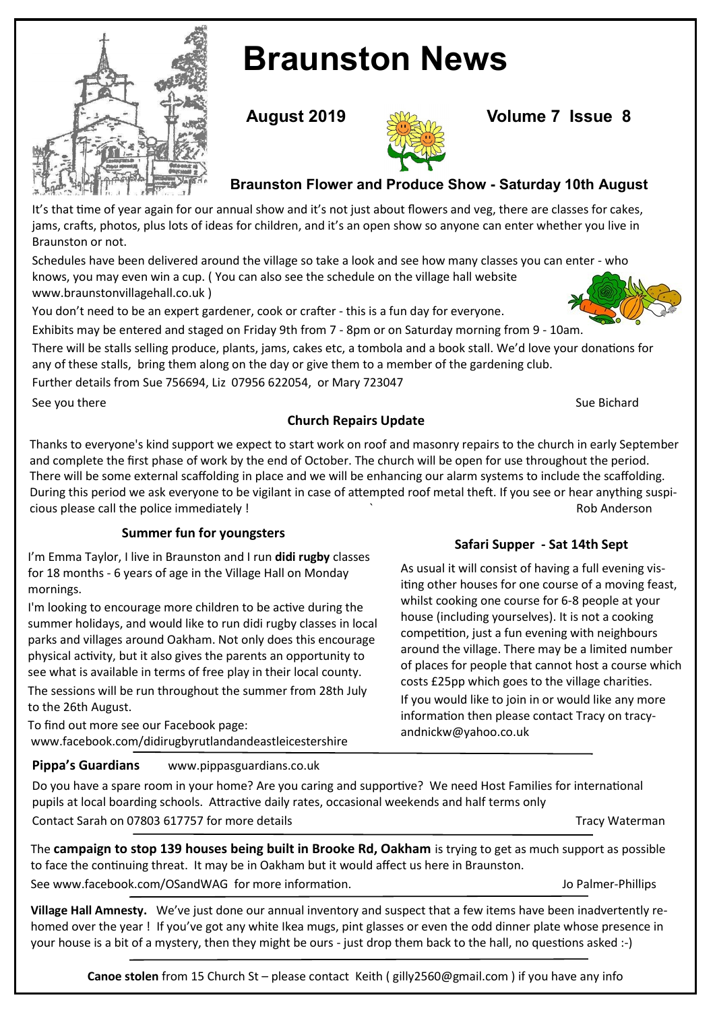

# **Braunston News**



# **August 2019 Volume 7 Issue 8**

# **Braunston Flower and Produce Show - Saturday 10th August**

It's that time of year again for our annual show and it's not just about flowers and veg, there are classes for cakes, jams, crafts, photos, plus lots of ideas for children, and it's an open show so anyone can enter whether you live in Braunston or not.

Schedules have been delivered around the village so take a look and see how many classes you can enter - who knows, you may even win a cup. ( You can also see the schedule on the village hall website www.braunstonvillagehall.co.uk )

You don't need to be an expert gardener, cook or crafter - this is a fun day for everyone.

Exhibits may be entered and staged on Friday 9th from 7 - 8pm or on Saturday morning from 9 - 10am.

There will be stalls selling produce, plants, jams, cakes etc, a tombola and a book stall. We'd love your donations for any of these stalls, bring them along on the day or give them to a member of the gardening club.

Further details from Sue 756694, Liz 07956 622054, or Mary 723047

See you there Sue Bichard Sue Bichard Sue Bichard Sue Bichard Sue Bichard Sue Bichard

#### **Church Repairs Update**

Thanks to everyone's kind support we expect to start work on roof and masonry repairs to the church in early September and complete the first phase of work by the end of October. The church will be open for use throughout the period. There will be some external scaffolding in place and we will be enhancing our alarm systems to include the scaffolding. During this period we ask everyone to be vigilant in case of attempted roof metal theft. If you see or hear anything suspicious please call the police immediately ! The same state of the state of the Rob Anderson

#### **Summer fun for youngsters**

I'm Emma Taylor, I live in Braunston and I run **didi rugby** classes for 18 months - 6 years of age in the Village Hall on Monday mornings.

I'm looking to encourage more children to be active during the summer holidays, and would like to run didi rugby classes in local parks and villages around Oakham. Not only does this encourage physical activity, but it also gives the parents an opportunity to see what is available in terms of free play in their local county.

The sessions will be run throughout the summer from 28th July to the 26th August.

To find out more see our Facebook page: [www.facebook.com/didirugbyrutlandandeastleicestershire](https://www.facebook.com/didirugbyrutlandandeastleicestershire/?ref=bookmarks)

#### **Safari Supper - Sat 14th Sept**

As usual it will consist of having a full evening visiting other houses for one course of a moving feast, whilst cooking one course for 6-8 people at your house (including yourselves). It is not a cooking competition, just a fun evening with neighbours around the village. There may be a limited number of places for people that cannot host a course which costs £25pp which goes to the village charities. If you would like to join in or would like any more information then please contact Tracy on tracyandnickw@yahoo.co.uk

**Pippa's Guardians** www.pippasguardians.co.uk

Do you have a spare room in your home? Are you caring and supportive? We need Host Families for international pupils at local boarding schools. Attractive daily rates, occasional weekends and half terms only Contact Sarah on 07803 617757 for more details Contact Sarah on O7803 617757 for more details

The **campaign to stop 139 houses being built in Brooke Rd, Oakham** is trying to get as much support as possible to face the continuing threat. It may be in Oakham but it would affect us here in Braunston. See www.facebook.com/OSandWAG for more information. The match of the state of Palmer-Phillips

**Village Hall Amnesty.** We've just done our annual inventory and suspect that a few items have been inadvertently rehomed over the year ! If you've got any white Ikea mugs, pint glasses or even the odd dinner plate whose presence in your house is a bit of a mystery, then they might be ours - just drop them back to the hall, no questions asked :-)

**Canoe stolen** from 15 Church St – please contact Keith ( gilly2560@gmail.com ) if you have any info